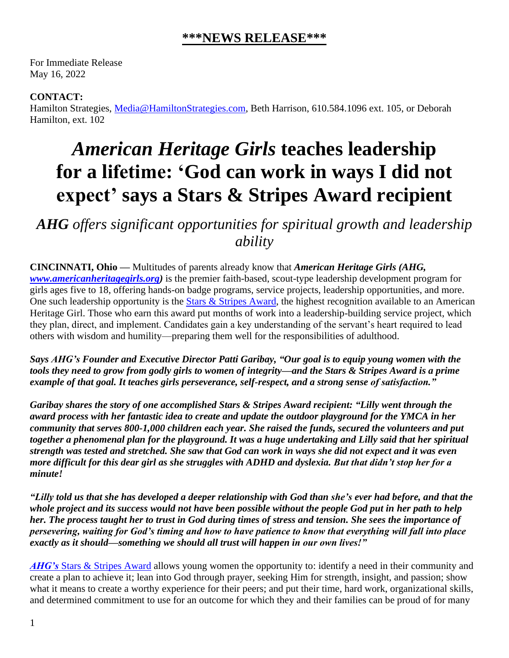## **\*\*\*NEWS RELEASE\*\*\***

For Immediate Release May 16, 2022

## **CONTACT:**

Hamilton Strategies, [Media@HamiltonStrategies.com,](mailto:Media@HamiltonStrategies.com) Beth Harrison, 610.584.1096 ext. 105, or Deborah Hamilton, ext. 102

## *American Heritage Girls* **teaches leadership for a lifetime: 'God can work in ways I did not expect' says a Stars & Stripes Award recipient**

*AHG offers significant opportunities for spiritual growth and leadership ability*

**CINCINNATI, Ohio —** Multitudes of parents already know that *American Heritage Girls (AHG, [www.americanheritagegirls.org\)](http://www.americanheritagegirls.org/)* is the premier faith-based, scout-type leadership development program for girls ages five to 18, offering hands-on badge programs, service projects, leadership opportunities, and more. One such leadership opportunity is the [Stars & Stripes Award,](https://americanheritagegirls.org/stars-and-stripes-award/) the highest recognition available to an American Heritage Girl. Those who earn this award put months of work into a leadership-building service project, which they plan, direct, and implement. Candidates gain a key understanding of the servant's heart required to lead others with wisdom and humility—preparing them well for the responsibilities of adulthood.

*Says AHG's Founder and Executive Director Patti Garibay, "Our goal is to equip young women with the tools they need to grow from godly girls to women of integrity—and the Stars & Stripes Award is a prime example of that goal. It teaches girls perseverance, self-respect, and a strong sense of satisfaction."*

*Garibay shares the story of one accomplished Stars & Stripes Award recipient: "Lilly went through the award process with her fantastic idea to create and update the outdoor playground for the YMCA in her community that serves 800-1,000 children each year. She raised the funds, secured the volunteers and put together a phenomenal plan for the playground. It was a huge undertaking and Lilly said that her spiritual strength was tested and stretched. She saw that God can work in ways she did not expect and it was even more difficult for this dear girl as she struggles with ADHD and dyslexia. But that didn't stop her for a minute!*

*"Lilly told us that she has developed a deeper relationship with God than she's ever had before, and that the whole project and its success would not have been possible without the people God put in her path to help her. The process taught her to trust in God during times of stress and tension. She sees the importance of persevering, waiting for God's timing and how to have patience to know that everything will fall into place exactly as it should—something we should all trust will happen in our own lives!"*

*AHG's* [Stars & Stripes Award](https://americanheritagegirls.org/stars-and-stripes-award/) allows young women the opportunity to: identify a need in their community and create a plan to achieve it; lean into God through prayer, seeking Him for strength, insight, and passion; show what it means to create a worthy experience for their peers; and put their time, hard work, organizational skills, and determined commitment to use for an outcome for which they and their families can be proud of for many